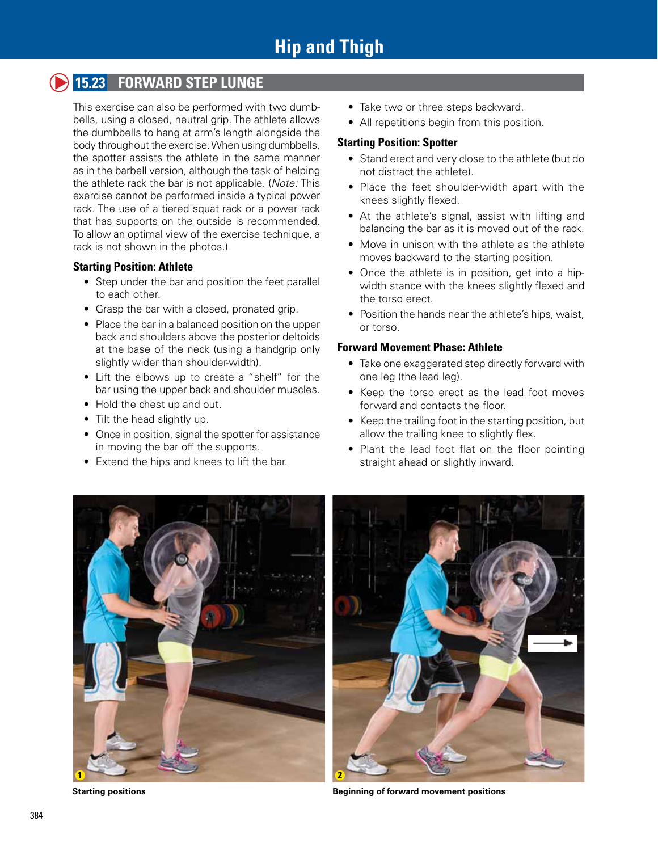# **15.23 FORWARD STEP LUNGE**

This exercise can also be performed with two dumbbells, using a closed, neutral grip. The athlete allows the dumbbells to hang at arm's length alongside the body throughout the exercise. When using dumbbells, the spotter assists the athlete in the same manner as in the barbell version, although the task of helping the athlete rack the bar is not applicable. (*Note:* This exercise cannot be performed inside a typical power rack. The use of a tiered squat rack or a power rack that has supports on the outside is recommended. To allow an optimal view of the exercise technique, a rack is not shown in the photos.)

### **Starting Position: Athlete**

- Step under the bar and position the feet parallel to each other.
- Grasp the bar with a closed, pronated grip.
- Place the bar in a balanced position on the upper back and shoulders above the posterior deltoids at the base of the neck (using a handgrip only slightly wider than shoulder-width).
- Lift the elbows up to create a "shelf" for the bar using the upper back and shoulder muscles.
- Hold the chest up and out.
- Tilt the head slightly up.
- Once in position, signal the spotter for assistance in moving the bar off the supports.
- Extend the hips and knees to lift the bar.
- Take two or three steps backward.
- All repetitions begin from this position.

#### **Starting Position: Spotter**

- Stand erect and very close to the athlete (but do not distract the athlete).
- Place the feet shoulder-width apart with the knees slightly flexed.
- At the athlete's signal, assist with lifting and balancing the bar as it is moved out of the rack.
- Move in unison with the athlete as the athlete moves backward to the starting position.
- Once the athlete is in position, get into a hipwidth stance with the knees slightly flexed and the torso erect.
- Position the hands near the athlete's hips, waist, or torso.

### **Forward Movement Phase: Athlete**

- Take one exaggerated step directly forward with one leg (the lead leg).
- Keep the torso erect as the lead foot moves forward and contacts the floor.
- Keep the trailing foot in the starting position, but allow the trailing knee to slightly flex.
- Plant the lead foot flat on the floor pointing straight ahead or slightly inward.





**Starting positions Beginning of forward movement positions**